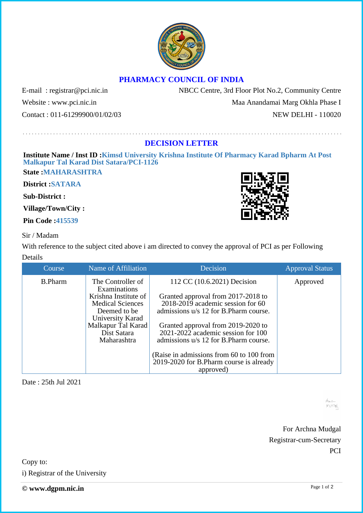## **PHARMACY COUNCIL OF INDIA**

Website : www.pci.nic.in Maa Anandamai Marg Okhla Phase I Contact : 011-61299900/01/02/03 NEW DELHI - 110020

E-mail: registrar@pci.nic.in NBCC Centre, 3rd Floor Plot No.2, Community Centre

## **DECISION LETTER**

**Institute Name / Inst ID :Kimsd University Krishna Institute Of Pharmacy Karad Bpharm At Post Malkapur Tal Karad Dist Satara/PCI-1126**

**State :MAHARASHTRA**

**District :SATARA**

**Sub-District :**

**Village/Town/City :**

**Pin Code :415539**

## Sir / Madam

With reference to the subject cited above i am directed to convey the approval of PCI as per Following Details

| Course         | Name of Affiliation               | Decision                                 | <b>Approval Status</b> |
|----------------|-----------------------------------|------------------------------------------|------------------------|
| <b>B.Pharm</b> | The Controller of<br>Examinations | 112 CC (10.6.2021) Decision              | Approved               |
|                | Krishna Institute of              | Granted approval from 2017-2018 to       |                        |
|                | <b>Medical Sciences</b>           | $2018-2019$ academic session for 60      |                        |
|                | Deemed to be                      | admissions u/s 12 for B.Pharm course.    |                        |
|                | University Karad                  |                                          |                        |
|                | Malkapur Tal Karad                | Granted approval from 2019-2020 to       |                        |
|                | Dist Satara                       | $2021 - 2022$ academic session for 100   |                        |
|                | Maharashtra                       | admissions u/s 12 for B.Pharm course.    |                        |
|                |                                   |                                          |                        |
|                |                                   | (Raise in admissions from 60 to 100 from |                        |
|                |                                   | 2019-2020 for B.Pharm course is already  |                        |
|                |                                   | approved)                                |                        |

Date : 25th Jul 2021

А., .к  $MTTN$ 

For Archna Mudgal Registrar-cum-Secretary **PCI**